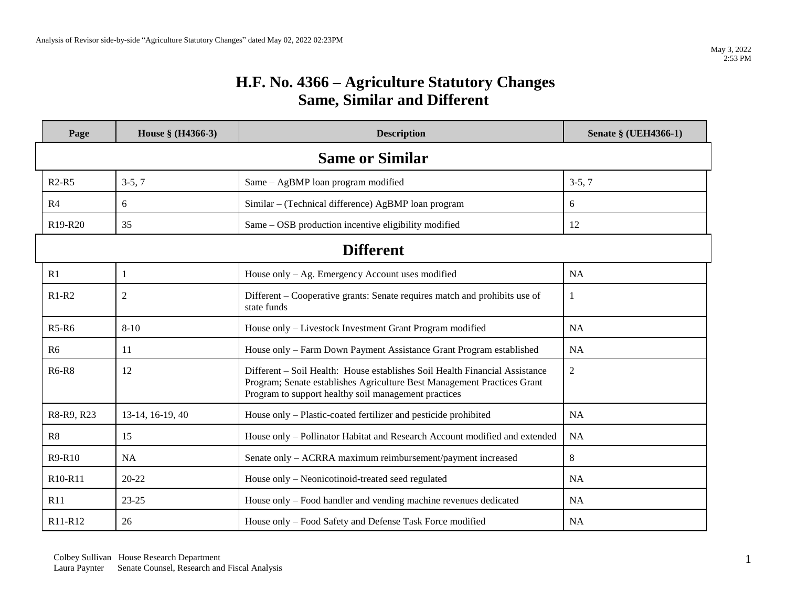## **H.F. No. 4366 – Agriculture Statutory Changes Same, Similar and Different**

| Page                             | House § (H4366-3) | <b>Description</b>                                                                                                                                                                                             | Senate § (UEH4366-1) |  |
|----------------------------------|-------------------|----------------------------------------------------------------------------------------------------------------------------------------------------------------------------------------------------------------|----------------------|--|
| <b>Same or Similar</b>           |                   |                                                                                                                                                                                                                |                      |  |
| $R2-R5$                          | $3-5, 7$          | Same - AgBMP loan program modified                                                                                                                                                                             | $3-5, 7$             |  |
| R <sub>4</sub>                   | 6                 | Similar – (Technical difference) AgBMP loan program                                                                                                                                                            | 6                    |  |
| R <sub>19</sub> -R <sub>20</sub> | 35                | Same - OSB production incentive eligibility modified                                                                                                                                                           | 12                   |  |
| <b>Different</b>                 |                   |                                                                                                                                                                                                                |                      |  |
| R1                               | $\mathbf{1}$      | House only $-$ Ag. Emergency Account uses modified                                                                                                                                                             | <b>NA</b>            |  |
| $R1-R2$                          | $\sqrt{2}$        | Different – Cooperative grants: Senate requires match and prohibits use of<br>state funds                                                                                                                      | -1                   |  |
| $R5-R6$                          | $8 - 10$          | House only - Livestock Investment Grant Program modified                                                                                                                                                       | <b>NA</b>            |  |
| R <sub>6</sub>                   | 11                | House only - Farm Down Payment Assistance Grant Program established                                                                                                                                            | <b>NA</b>            |  |
| <b>R6-R8</b>                     | 12                | Different – Soil Health: House establishes Soil Health Financial Assistance<br>Program; Senate establishes Agriculture Best Management Practices Grant<br>Program to support healthy soil management practices | $\overline{2}$       |  |
| R8-R9, R23                       | 13-14, 16-19, 40  | House only - Plastic-coated fertilizer and pesticide prohibited                                                                                                                                                | <b>NA</b>            |  |
| R8                               | 15                | House only - Pollinator Habitat and Research Account modified and extended                                                                                                                                     | <b>NA</b>            |  |
| R9-R10                           | <b>NA</b>         | Senate only - ACRRA maximum reimbursement/payment increased                                                                                                                                                    | 8                    |  |
| R <sub>10</sub> -R <sub>11</sub> | 20-22             | House only - Neonicotinoid-treated seed regulated                                                                                                                                                              | <b>NA</b>            |  |
| R11                              | $23 - 25$         | House only – Food handler and vending machine revenues dedicated                                                                                                                                               | <b>NA</b>            |  |
| R <sub>11</sub> -R <sub>12</sub> | 26                | House only - Food Safety and Defense Task Force modified                                                                                                                                                       | <b>NA</b>            |  |